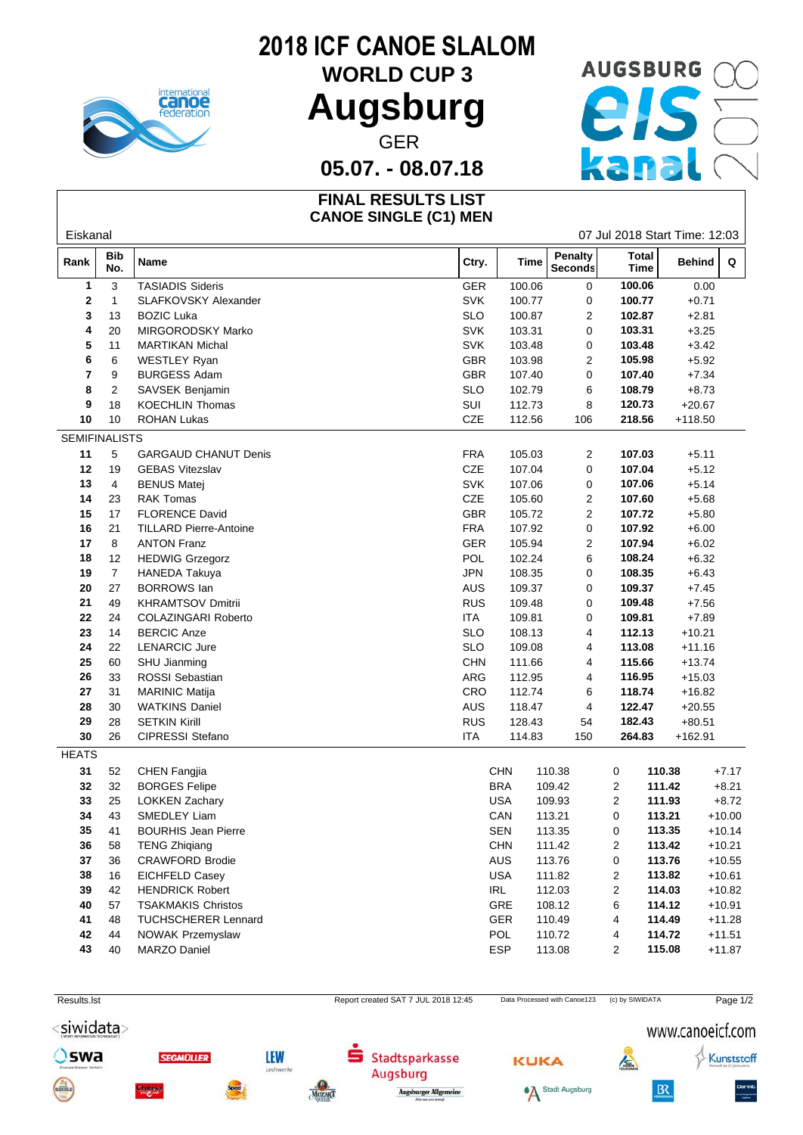

## **2018 ICF CANOE SLALOM**

**Augsburg**

# WORLD CUP 3 AUGSBURG CO GER<br>. - 08.07.18

**05.07. - 08.07.18**

#### **FINAL RESULTS LIST CANOE SINGLE (C1) MEN**

| Eiskanal             |                   |                               |                                     |                                 |                              |                             | 07 Jul 2018 Start Time: 12:03 |          |
|----------------------|-------------------|-------------------------------|-------------------------------------|---------------------------------|------------------------------|-----------------------------|-------------------------------|----------|
| Rank                 | <b>Bib</b><br>No. | Name                          | Ctry.                               | Time                            | Penalty<br>Seconds           | <b>Total</b><br><b>Time</b> | Behind                        | Q        |
| 1                    | 3                 | <b>TASIADIS Sideris</b>       | <b>GER</b>                          | 100.06<br>0                     |                              | 100.06                      | 0.00                          |          |
| 2                    | 1                 | SLAFKOVSKY Alexander          | <b>SVK</b>                          | 100.77                          | $\mathbf 0$                  | 100.77                      | $+0.71$                       |          |
| 3                    | 13                | <b>BOZIC Luka</b>             | <b>SLO</b>                          | 100.87                          | $\overline{c}$               | 102.87                      | $+2.81$                       |          |
| 4                    | 20                | MIRGORODSKY Marko             |                                     | SVK<br>103.31                   |                              | 103.31                      | $+3.25$                       |          |
| 5                    | 11                | <b>MARTIKAN Michal</b>        | SVK                                 | 103.48                          | 0                            | 103.48                      | $+3.42$                       |          |
| 6                    | 6                 | <b>WESTLEY Ryan</b>           | GBR                                 | 103.98                          | $\overline{c}$               | 105.98                      | $+5.92$                       |          |
| 7                    | 9                 | <b>BURGESS Adam</b>           | <b>GBR</b>                          | 107.40                          | 0                            | 107.40                      | $+7.34$                       |          |
| 8                    | 2                 | SAVSEK Benjamin               | <b>SLO</b>                          | 102.79                          | 6                            | 108.79                      | $+8.73$                       |          |
| 9                    | 18                | <b>KOECHLIN Thomas</b>        | SUI                                 | 112.73                          | 8                            | 120.73                      | $+20.67$                      |          |
| 10                   | 10                | <b>ROHAN Lukas</b>            | CZE                                 | 112.56                          | 106                          | 218.56                      | $+118.50$                     |          |
| <b>SEMIFINALISTS</b> |                   |                               |                                     |                                 |                              |                             |                               |          |
| 11                   | 5                 | <b>GARGAUD CHANUT Denis</b>   | <b>FRA</b>                          | 105.03                          | $\overline{2}$               | 107.03                      | $+5.11$                       |          |
| 12                   | 19                | <b>GEBAS Vitezslav</b>        | CZE                                 | 107.04                          | $\mathbf 0$                  | 107.04                      | $+5.12$                       |          |
| 13                   | 4                 | <b>BENUS Matej</b>            | <b>SVK</b>                          | 107.06                          | 0                            | 107.06                      | $+5.14$                       |          |
| 14                   | 23                | <b>RAK Tomas</b>              | CZE                                 | 105.60<br>$\overline{2}$        |                              | 107.60                      | $+5.68$                       |          |
| 15                   | 17                | <b>FLORENCE David</b>         |                                     | GBR<br>105.72<br>$\overline{c}$ |                              | 107.72                      | $+5.80$                       |          |
| 16                   | 21                | <b>TILLARD Pierre-Antoine</b> | <b>FRA</b>                          | 107.92                          | 0                            | 107.92                      | $+6.00$                       |          |
| 17                   | 8                 | <b>ANTON Franz</b>            | GER                                 | 105.94                          | $\overline{2}$               | 107.94                      | $+6.02$                       |          |
| 18                   | 12                | <b>HEDWIG Grzegorz</b>        | POL                                 | 102.24                          | 6                            | 108.24                      | $+6.32$                       |          |
| 19                   | $\overline{7}$    | <b>HANEDA Takuya</b>          | <b>JPN</b>                          | 108.35                          | 0                            | 108.35                      | $+6.43$                       |          |
| 20                   | 27                | <b>BORROWS</b> lan            | AUS                                 | 109.37                          | 0                            | 109.37                      | $+7.45$                       |          |
| 21                   | 49                | <b>KHRAMTSOV Dmitrii</b>      | <b>RUS</b>                          | 109.48                          | 0                            | 109.48                      | $+7.56$                       |          |
| 22                   | 24                | <b>COLAZINGARI Roberto</b>    | ITA.                                | 109.81                          | 0                            | 109.81                      | $+7.89$                       |          |
| 23                   | 14                | <b>BERCIC Anze</b>            | <b>SLO</b>                          | 108.13                          | 4                            | 112.13                      | $+10.21$                      |          |
| 24                   | 22                | <b>LENARCIC Jure</b>          | <b>SLO</b>                          | 109.08                          | 4                            | 113.08                      | $+11.16$                      |          |
| 25                   | 60                | SHU Jianming                  | <b>CHN</b>                          | 111.66                          | $\overline{4}$               | 115.66                      | $+13.74$                      |          |
| 26                   | 33                | ROSSI Sebastian               | ARG                                 | 112.95                          | 4                            | 116.95                      | $+15.03$                      |          |
| 27                   | 31                | <b>MARINIC Matija</b>         | CRO                                 | 112.74                          | 6                            | 118.74                      | $+16.82$                      |          |
| 28                   | 30                | <b>WATKINS Daniel</b>         | AUS                                 | 118.47                          | $\overline{4}$               | 122.47                      | $+20.55$                      |          |
| 29                   | 28                | <b>SETKIN Kirill</b>          | <b>RUS</b>                          | 128.43                          | 54                           | 182.43                      | $+80.51$                      |          |
| $30\,$               | 26                | CIPRESSI Stefano              | <b>ITA</b>                          | 114.83                          | 150                          | 264.83                      | $+162.91$                     |          |
| <b>HEATS</b>         |                   |                               |                                     |                                 |                              |                             |                               |          |
| 31                   | 52                | CHEN Fangjia                  |                                     | <b>CHN</b>                      | 110.38                       | 0                           | 110.38                        | $+7.17$  |
| 32                   | 32                | <b>BORGES Felipe</b>          |                                     | <b>BRA</b>                      | 109.42                       | $\overline{2}$              | 111.42                        | $+8.21$  |
| 33                   | 25                | <b>LOKKEN Zachary</b>         |                                     | <b>USA</b>                      | 109.93                       | 2                           | 111.93                        | $+8.72$  |
| 34                   | 43                | <b>SMEDLEY Liam</b>           |                                     | CAN                             | 113.21                       | 0                           | 113.21                        | $+10.00$ |
| 35                   | 41                | <b>BOURHIS Jean Pierre</b>    |                                     | <b>SEN</b>                      | 113.35                       | 0                           | 113.35                        | $+10.14$ |
| 36                   | 58                | <b>TENG Zhigiang</b>          |                                     | <b>CHN</b>                      | 111.42                       | 2                           | 113.42                        | $+10.21$ |
| 37                   | 36                | <b>CRAWFORD Brodie</b>        |                                     | AUS                             | 113.76                       | 0                           | 113.76                        | $+10.55$ |
| 38                   | 16                | <b>EICHFELD Casey</b>         |                                     | USA                             | 111.82                       | 2                           | 113.82                        | $+10.61$ |
| 39                   | 42                | <b>HENDRICK Robert</b>        |                                     | <b>IRL</b>                      | 112.03                       | 2                           | 114.03                        | $+10.82$ |
| 40                   | 57                | <b>TSAKMAKIS Christos</b>     |                                     | GRE                             | 108.12                       | 6                           | 114.12                        | $+10.91$ |
| 41                   | 48                | <b>TUCHSCHERER Lennard</b>    |                                     | GER                             | 110.49                       | 4                           | 114.49                        | $+11.28$ |
| 42                   | 44                | <b>NOWAK Przemyslaw</b>       |                                     | POL                             | 110.72                       | 4                           | 114.72                        | $+11.51$ |
| 43                   | 40                | <b>MARZO Daniel</b>           |                                     | ESP                             | 113.08                       | 2                           | 115.08                        | $+11.87$ |
|                      |                   |                               |                                     |                                 |                              |                             |                               |          |
|                      |                   |                               |                                     |                                 |                              |                             |                               |          |
| Results.Ist          |                   |                               | Report created SAT 7 JUL 2018 12:45 |                                 | Data Processed with Canoe123 | (c) by SIWIDATA             |                               | Page 1/2 |

<siwidata>

Oswa

**SEGMOLLER** 



s

Stadtsparkasse

Augsburger Allgemeine

Augsburg





### www.canoeicf.com

 $\sqrt{2}$ 

 $B<sub>x</sub>$ 

Kunststoff